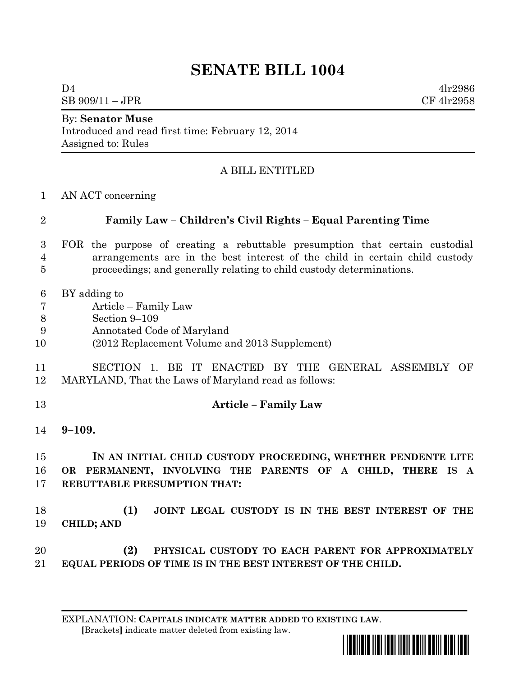## **SENATE BILL 1004**

 $D4$  4lr2986  $SB\ 909/11 - JPR$  CF 4lr2958

## By: **Senator Muse**

Introduced and read first time: February 12, 2014 Assigned to: Rules

## A BILL ENTITLED

AN ACT concerning

| $\overline{2}$                      | Family Law - Children's Civil Rights - Equal Parenting Time                                                                                                                                                                        |
|-------------------------------------|------------------------------------------------------------------------------------------------------------------------------------------------------------------------------------------------------------------------------------|
| 3<br>4<br>5                         | FOR the purpose of creating a rebuttable presumption that certain custodial<br>arrangements are in the best interest of the child in certain child custody<br>proceedings; and generally relating to child custody determinations. |
| 6<br>$\overline{7}$<br>8<br>9<br>10 | BY adding to<br>Article – Family Law<br>Section 9-109<br>Annotated Code of Maryland<br>(2012 Replacement Volume and 2013 Supplement)                                                                                               |
| 11<br>12                            | SECTION 1. BE IT ENACTED BY THE GENERAL ASSEMBLY OF<br>MARYLAND, That the Laws of Maryland read as follows:                                                                                                                        |
| 13                                  | <b>Article - Family Law</b>                                                                                                                                                                                                        |
| 14                                  | $9 - 109.$                                                                                                                                                                                                                         |
| 15<br>16<br>17                      | IN AN INITIAL CHILD CUSTODY PROCEEDING, WHETHER PENDENTE LITE<br>OR PERMANENT, INVOLVING THE PARENTS OF A CHILD, THERE IS A<br><b>REBUTTABLE PRESUMPTION THAT:</b>                                                                 |
| 18<br>19                            | (1)<br>JOINT LEGAL CUSTODY IS IN THE BEST INTEREST OF THE<br><b>CHILD; AND</b>                                                                                                                                                     |
| 20<br>21                            | (2)<br>PHYSICAL CUSTODY TO EACH PARENT FOR APPROXIMATELY<br>EQUAL PERIODS OF TIME IS IN THE BEST INTEREST OF THE CHILD.                                                                                                            |

EXPLANATION: **CAPITALS INDICATE MATTER ADDED TO EXISTING LAW**.  **[**Brackets**]** indicate matter deleted from existing law.